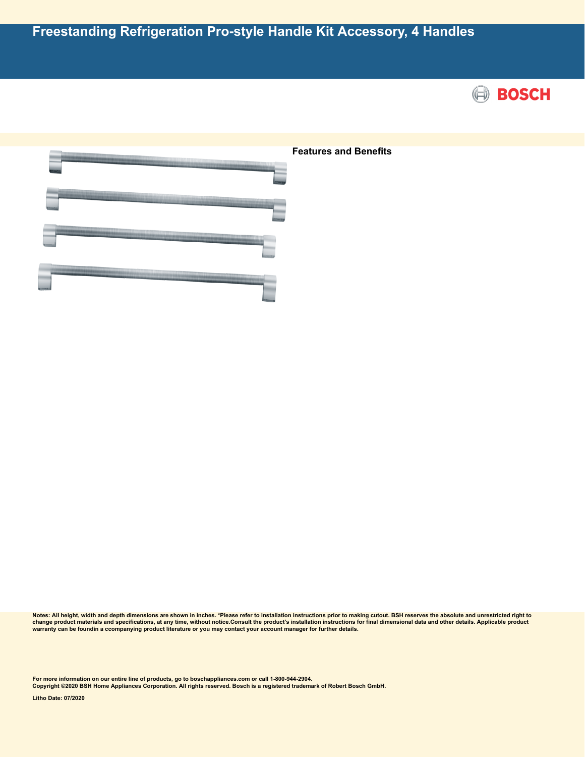



**Notes: All height, width and depth dimensions are shown in inches. \*Please refer to installation instructions prior to making cutout. BSH reserves the absolute and unrestricted right to** change product materials and specifications, at any time, without notice.Consult the product's installation instructions for final dimensional data and other details. Applicable product<br>warranty can be foundin a ccompanyin

**For more information on our entire line of products, go to boschappliances.com or call 1-800-944-2904.**

**Copyright ©2020 BSH Home Appliances Corporation. All rights reserved. Bosch is a registered trademark of Robert Bosch GmbH.**

**Litho Date: 07/2020**